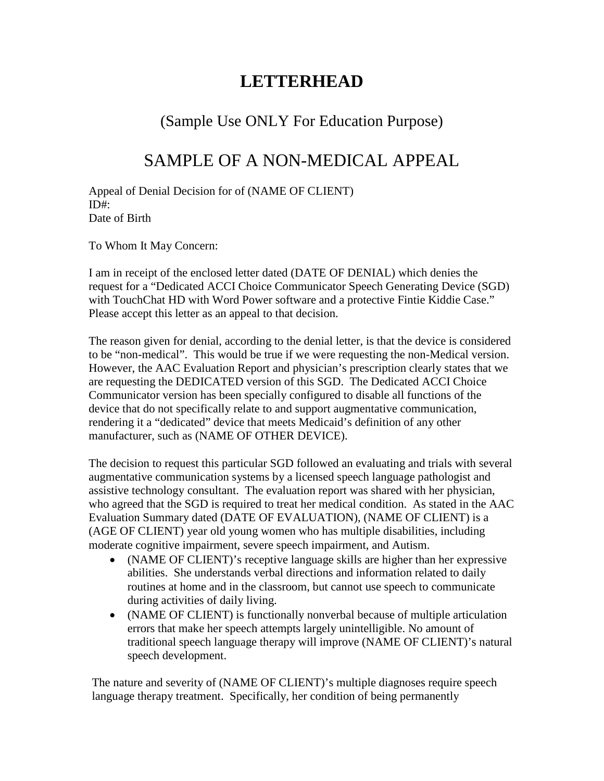## **LETTERHEAD**

## (Sample Use ONLY For Education Purpose)

## SAMPLE OF A NON-MEDICAL APPEAL

Appeal of Denial Decision for of (NAME OF CLIENT) ID#: Date of Birth

To Whom It May Concern:

I am in receipt of the enclosed letter dated (DATE OF DENIAL) which denies the request for a "Dedicated ACCI Choice Communicator Speech Generating Device (SGD) with TouchChat HD with Word Power software and a protective Fintie Kiddie Case." Please accept this letter as an appeal to that decision.

The reason given for denial, according to the denial letter, is that the device is considered to be "non-medical". This would be true if we were requesting the non-Medical version. However, the AAC Evaluation Report and physician's prescription clearly states that we are requesting the DEDICATED version of this SGD. The Dedicated ACCI Choice Communicator version has been specially configured to disable all functions of the device that do not specifically relate to and support augmentative communication, rendering it a "dedicated" device that meets Medicaid's definition of any other manufacturer, such as (NAME OF OTHER DEVICE).

The decision to request this particular SGD followed an evaluating and trials with several augmentative communication systems by a licensed speech language pathologist and assistive technology consultant. The evaluation report was shared with her physician, who agreed that the SGD is required to treat her medical condition. As stated in the AAC Evaluation Summary dated (DATE OF EVALUATION), (NAME OF CLIENT) is a (AGE OF CLIENT) year old young women who has multiple disabilities, including moderate cognitive impairment, severe speech impairment, and Autism.

- (NAME OF CLIENT)'s receptive language skills are higher than her expressive abilities. She understands verbal directions and information related to daily routines at home and in the classroom, but cannot use speech to communicate during activities of daily living.
- (NAME OF CLIENT) is functionally nonverbal because of multiple articulation errors that make her speech attempts largely unintelligible. No amount of traditional speech language therapy will improve (NAME OF CLIENT)'s natural speech development.

The nature and severity of (NAME OF CLIENT)'s multiple diagnoses require speech language therapy treatment. Specifically, her condition of being permanently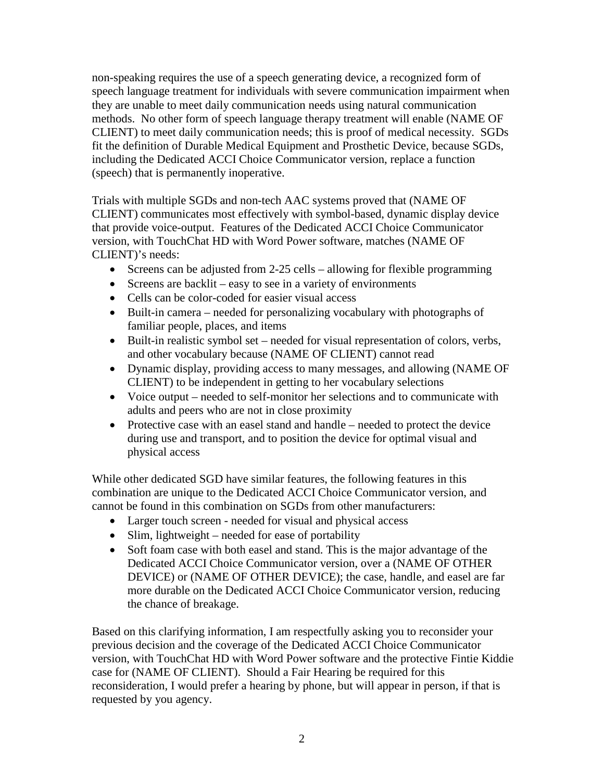non-speaking requires the use of a speech generating device, a recognized form of speech language treatment for individuals with severe communication impairment when they are unable to meet daily communication needs using natural communication methods. No other form of speech language therapy treatment will enable (NAME OF CLIENT) to meet daily communication needs; this is proof of medical necessity. SGDs fit the definition of Durable Medical Equipment and Prosthetic Device, because SGDs, including the Dedicated ACCI Choice Communicator version, replace a function (speech) that is permanently inoperative.

Trials with multiple SGDs and non-tech AAC systems proved that (NAME OF CLIENT) communicates most effectively with symbol-based, dynamic display device that provide voice-output. Features of the Dedicated ACCI Choice Communicator version, with TouchChat HD with Word Power software, matches (NAME OF CLIENT)'s needs:

- Screens can be adjusted from 2-25 cells allowing for flexible programming
- Screens are backlit easy to see in a variety of environments
- Cells can be color-coded for easier visual access
- Built-in camera needed for personalizing vocabulary with photographs of familiar people, places, and items
- Built-in realistic symbol set needed for visual representation of colors, verbs, and other vocabulary because (NAME OF CLIENT) cannot read
- Dynamic display, providing access to many messages, and allowing (NAME OF CLIENT) to be independent in getting to her vocabulary selections
- Voice output needed to self-monitor her selections and to communicate with adults and peers who are not in close proximity
- Protective case with an easel stand and handle needed to protect the device during use and transport, and to position the device for optimal visual and physical access

While other dedicated SGD have similar features, the following features in this combination are unique to the Dedicated ACCI Choice Communicator version, and cannot be found in this combination on SGDs from other manufacturers:

- Larger touch screen needed for visual and physical access
- Slim, lightweight needed for ease of portability
- Soft foam case with both easel and stand. This is the major advantage of the Dedicated ACCI Choice Communicator version, over a (NAME OF OTHER DEVICE) or (NAME OF OTHER DEVICE); the case, handle, and easel are far more durable on the Dedicated ACCI Choice Communicator version, reducing the chance of breakage.

Based on this clarifying information, I am respectfully asking you to reconsider your previous decision and the coverage of the Dedicated ACCI Choice Communicator version, with TouchChat HD with Word Power software and the protective Fintie Kiddie case for (NAME OF CLIENT). Should a Fair Hearing be required for this reconsideration, I would prefer a hearing by phone, but will appear in person, if that is requested by you agency.